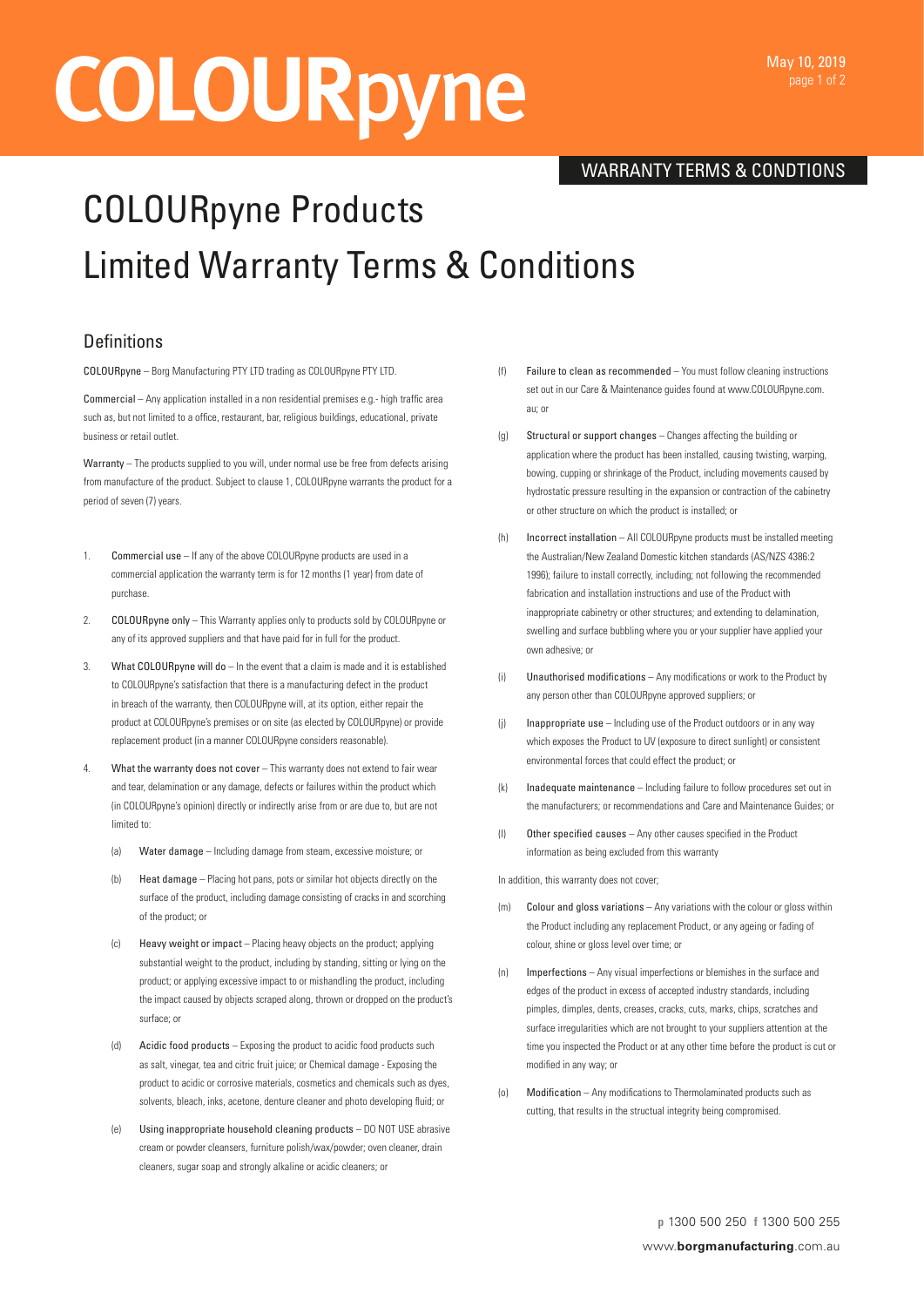# **COLOURpyne**

## WARRANTY TERMS & CONDTIONS

## COLOURpyne Products Limited Warranty Terms & Conditions

## **Definitions**

COLOURpyne – Borg Manufacturing PTY LTD trading as COLOURpyne PTY LTD.

Commercial – Any application installed in a non residential premises e.g.- high traffic area such as, but not limited to a office, restaurant, bar, religious buildings, educational, private business or retail outlet.

Warranty – The products supplied to you will, under normal use be free from defects arising from manufacture of the product. Subject to clause 1, COLOURpyne warrants the product for a period of seven (7) years.

- 1. Commercial use If any of the above COLOURpyne products are used in a commercial application the warranty term is for 12 months (1 year) from date of purchase.
- 2. COLOURpyne only This Warranty applies only to products sold by COLOURpyne or any of its approved suppliers and that have paid for in full for the product.
- 3. What COLOURpyne will do In the event that a claim is made and it is established to COLOURpyne's satisfaction that there is a manufacturing defect in the product in breach of the warranty, then COLOURpyne will, at its option, either repair the product at COLOURpyne's premises or on site (as elected by COLOURpyne) or provide replacement product (in a manner COLOURpyne considers reasonable).
- 4. What the warranty does not cover This warranty does not extend to fair wear and tear, delamination or any damage, defects or failures within the product which (in COLOURpyne's opinion) directly or indirectly arise from or are due to, but are not limited to:
	- (a) Water damage Including damage from steam, excessive moisture; or
	- (b) Heat damage Placing hot pans, pots or similar hot objects directly on the surface of the product, including damage consisting of cracks in and scorching of the product; or
	- (c) Heavy weight or impact Placing heavy objects on the product; applying substantial weight to the product, including by standing, sitting or lying on the product; or applying excessive impact to or mishandling the product, including the impact caused by objects scraped along, thrown or dropped on the product's surface; or
	- (d) Acidic food products Exposing the product to acidic food products such as salt, vinegar, tea and citric fruit juice; or Chemical damage - Exposing the product to acidic or corrosive materials, cosmetics and chemicals such as dyes, solvents, bleach, inks, acetone, denture cleaner and photo developing fluid; or
	- (e) Using inappropriate household cleaning products DO NOT USE abrasive cream or powder cleansers, furniture polish/wax/powder; oven cleaner, drain cleaners, sugar soap and strongly alkaline or acidic cleaners; or
- Failure to clean as recommended You must follow cleaning instructions set out in our Care & Maintenance guides found at www.COLOURpyne.com. au; or
- (g) Structural or support changes Changes affecting the building or application where the product has been installed, causing twisting, warping bowing, cupping or shrinkage of the Product, including movements caused by hydrostatic pressure resulting in the expansion or contraction of the cabinetry or other structure on which the product is installed; or
- (h) Incorrect installation All COLOURpyne products must be installed meeting the Australian/New Zealand Domestic kitchen standards (AS/NZS 4386:2 1996); failure to install correctly, including; not following the recommended fabrication and installation instructions and use of the Product with inappropriate cabinetry or other structures; and extending to delamination, swelling and surface bubbling where you or your supplier have applied your own adhesive; or
- (i) Unauthorised modifications Any modifications or work to the Product by any person other than COLOURpyne approved suppliers; or
- (j) Inappropriate use Including use of the Product outdoors or in any way which exposes the Product to UV (exposure to direct sunlight) or consistent environmental forces that could effect the product; or
- (k) Inadequate maintenance Including failure to follow procedures set out in the manufacturers; or recommendations and Care and Maintenance Guides; or
- (l) Other specified causes Any other causes specified in the Product information as being excluded from this warranty

In addition, this warranty does not cover;

- (m) Colour and gloss variations Any variations with the colour or gloss within the Product including any replacement Product, or any ageing or fading of colour, shine or gloss level over time; or
- (n) Imperfections Any visual imperfections or blemishes in the surface and edges of the product in excess of accepted industry standards, including pimples, dimples, dents, creases, cracks, cuts, marks, chips, scratches and surface irregularities which are not brought to your suppliers attention at the time you inspected the Product or at any other time before the product is cut or modified in any way; or
- (o) Modification Any modifications to Thermolaminated products such as cutting, that results in the structual integrity being compromised.